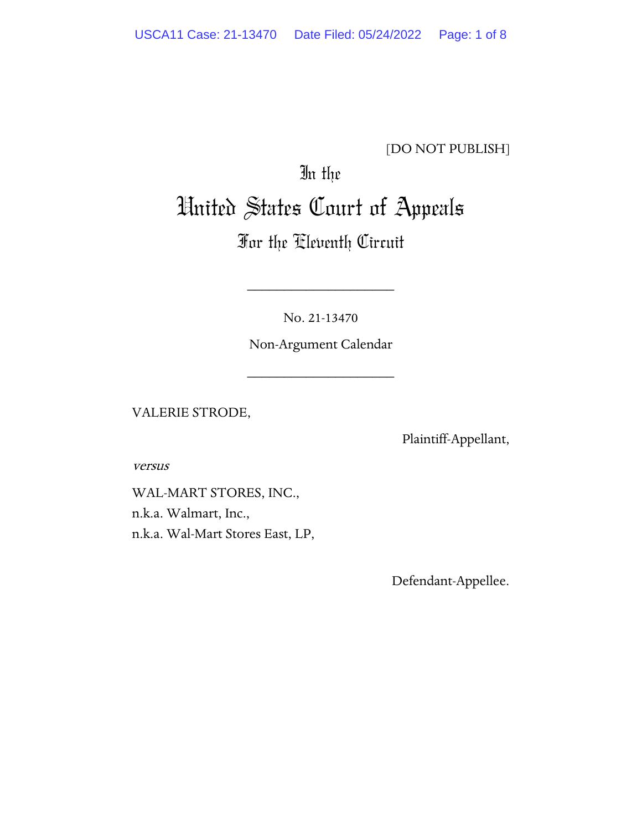### [DO NOT PUBLISH]

# In the United States Court of Appeals

## For the Eleventh Circuit

No. 21-13470

\_\_\_\_\_\_\_\_\_\_\_\_\_\_\_\_\_\_\_\_

Non-Argument Calendar

\_\_\_\_\_\_\_\_\_\_\_\_\_\_\_\_\_\_\_\_

VALERIE STRODE,

Plaintiff-Appellant,

versus

WAL-MART STORES, INC., n.k.a. Walmart, Inc., n.k.a. Wal-Mart Stores East, LP,

Defendant-Appellee.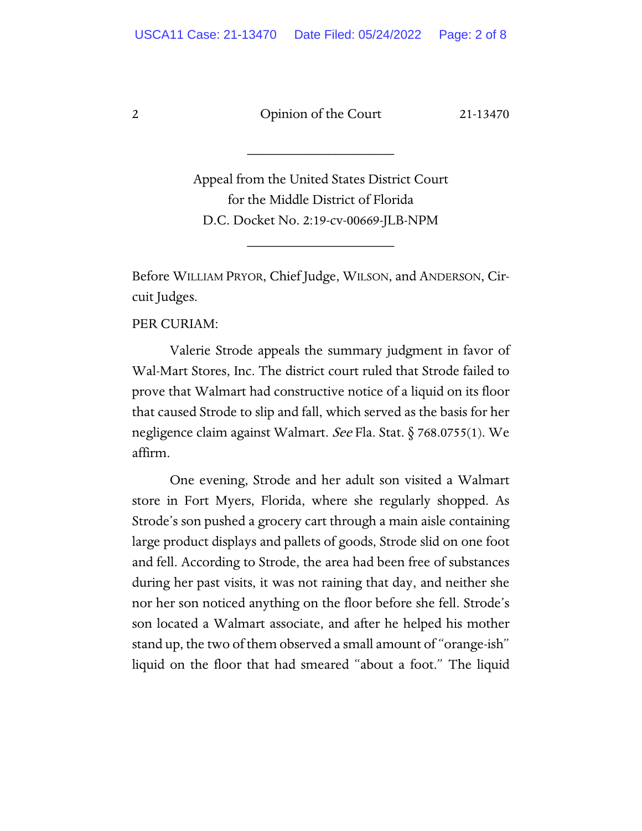\_\_\_\_\_\_\_\_\_\_\_\_\_\_\_\_\_\_\_\_

Appeal from the United States District Court for the Middle District of Florida D.C. Docket No. 2:19-cv-00669-JLB-NPM

\_\_\_\_\_\_\_\_\_\_\_\_\_\_\_\_\_\_\_\_

Before WILLIAM PRYOR, Chief Judge, WILSON, and ANDERSON, Circuit Judges.

PER CURIAM:

Valerie Strode appeals the summary judgment in favor of Wal-Mart Stores, Inc. The district court ruled that Strode failed to prove that Walmart had constructive notice of a liquid on its floor that caused Strode to slip and fall, which served as the basis for her negligence claim against Walmart. See Fla. Stat. § 768.0755(1). We affirm.

One evening, Strode and her adult son visited a Walmart store in Fort Myers, Florida, where she regularly shopped. As Strode's son pushed a grocery cart through a main aisle containing large product displays and pallets of goods, Strode slid on one foot and fell. According to Strode, the area had been free of substances during her past visits, it was not raining that day, and neither she nor her son noticed anything on the floor before she fell. Strode's son located a Walmart associate, and after he helped his mother stand up, the two of them observed a small amount of "orange-ish" liquid on the floor that had smeared "about a foot." The liquid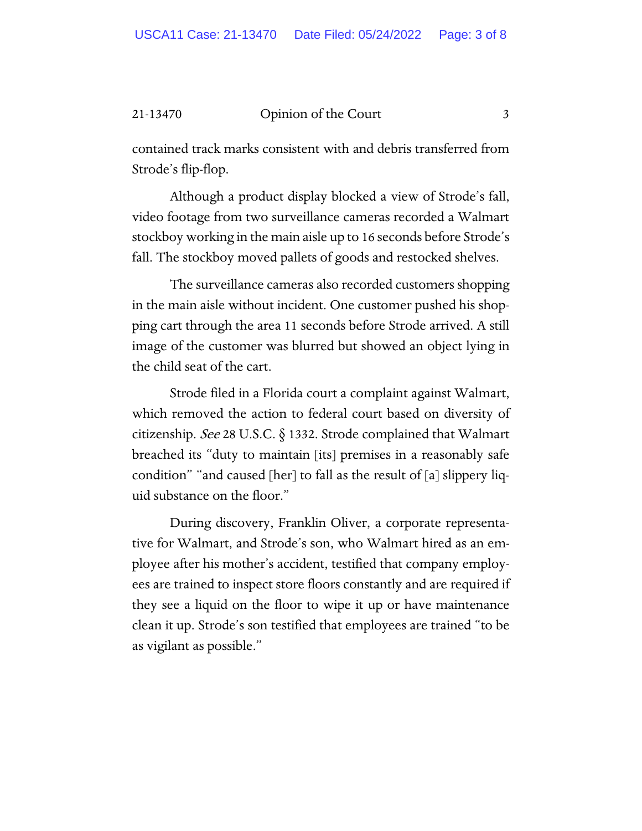#### 21-13470 Opinion of the Court 3

contained track marks consistent with and debris transferred from Strode's flip-flop.

Although a product display blocked a view of Strode's fall, video footage from two surveillance cameras recorded a Walmart stockboy working in the main aisle up to 16 seconds before Strode's fall. The stockboy moved pallets of goods and restocked shelves.

The surveillance cameras also recorded customers shopping in the main aisle without incident. One customer pushed his shopping cart through the area 11 seconds before Strode arrived. A still image of the customer was blurred but showed an object lying in the child seat of the cart.

Strode filed in a Florida court a complaint against Walmart, which removed the action to federal court based on diversity of citizenship. See 28 U.S.C. § 1332. Strode complained that Walmart breached its "duty to maintain [its] premises in a reasonably safe condition" "and caused [her] to fall as the result of [a] slippery liquid substance on the floor."

During discovery, Franklin Oliver, a corporate representative for Walmart, and Strode's son, who Walmart hired as an employee after his mother's accident, testified that company employees are trained to inspect store floors constantly and are required if they see a liquid on the floor to wipe it up or have maintenance clean it up. Strode's son testified that employees are trained "to be as vigilant as possible."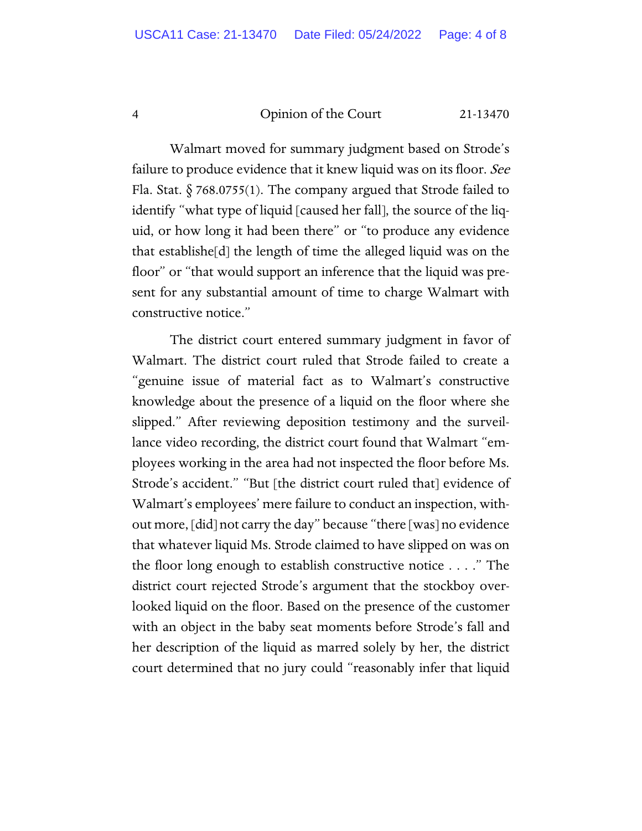Walmart moved for summary judgment based on Strode's failure to produce evidence that it knew liquid was on its floor. See Fla. Stat.  $\S$  768.0755(1). The company argued that Strode failed to identify "what type of liquid [caused her fall], the source of the liquid, or how long it had been there" or "to produce any evidence that establishe[d] the length of time the alleged liquid was on the floor" or "that would support an inference that the liquid was present for any substantial amount of time to charge Walmart with constructive notice."

The district court entered summary judgment in favor of Walmart. The district court ruled that Strode failed to create a "genuine issue of material fact as to Walmart's constructive knowledge about the presence of a liquid on the floor where she slipped." After reviewing deposition testimony and the surveillance video recording, the district court found that Walmart "employees working in the area had not inspected the floor before Ms. Strode's accident." "But [the district court ruled that] evidence of Walmart's employees' mere failure to conduct an inspection, without more, [did] not carry the day" because "there [was] no evidence that whatever liquid Ms. Strode claimed to have slipped on was on the floor long enough to establish constructive notice . . . ." The district court rejected Strode's argument that the stockboy overlooked liquid on the floor. Based on the presence of the customer with an object in the baby seat moments before Strode's fall and her description of the liquid as marred solely by her, the district court determined that no jury could "reasonably infer that liquid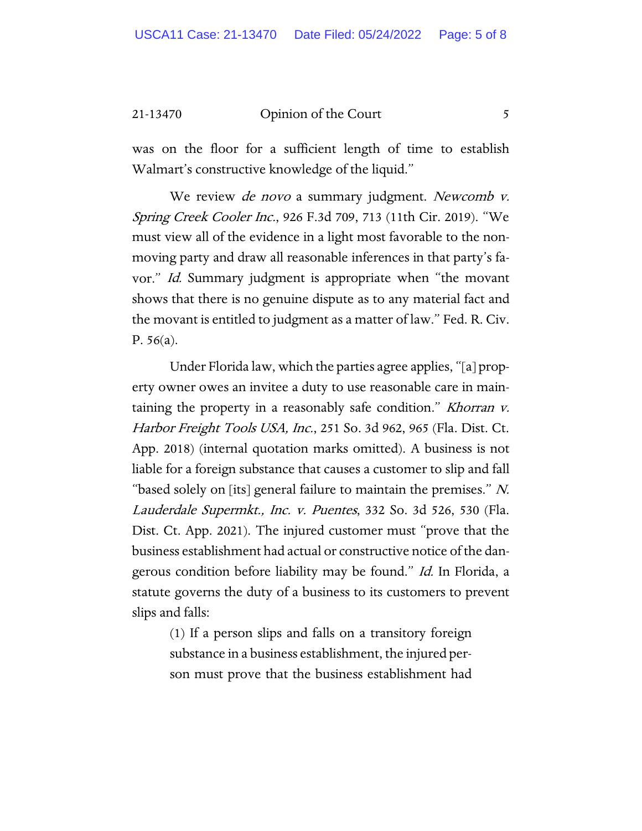#### 21-13470 Opinion of the Court 5

was on the floor for a sufficient length of time to establish Walmart's constructive knowledge of the liquid."

We review *de novo* a summary judgment. Newcomb *v*. Spring Creek Cooler Inc., 926 F.3d 709, 713 (11th Cir. 2019). "We must view all of the evidence in a light most favorable to the nonmoving party and draw all reasonable inferences in that party's favor." Id. Summary judgment is appropriate when "the movant shows that there is no genuine dispute as to any material fact and the movant is entitled to judgment as a matter of law." Fed. R. Civ. P. 56(a).

Under Florida law, which the parties agree applies, "[a] property owner owes an invitee a duty to use reasonable care in maintaining the property in a reasonably safe condition." Khorran v. Harbor Freight Tools USA, Inc., 251 So. 3d 962, 965 (Fla. Dist. Ct. App. 2018) (internal quotation marks omitted). A business is not liable for a foreign substance that causes a customer to slip and fall "based solely on [its] general failure to maintain the premises."  $N$ . Lauderdale Supermkt., Inc. v. Puentes, 332 So. 3d 526, 530 (Fla. Dist. Ct. App. 2021). The injured customer must "prove that the business establishment had actual or constructive notice of the dangerous condition before liability may be found." Id. In Florida, a statute governs the duty of a business to its customers to prevent slips and falls:

> (1) If a person slips and falls on a transitory foreign substance in a business establishment, the injured person must prove that the business establishment had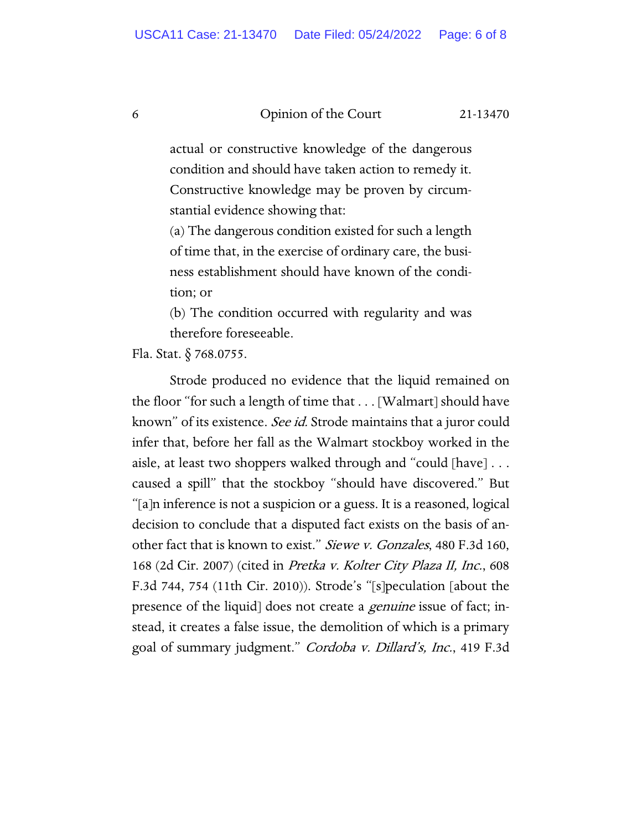actual or constructive knowledge of the dangerous condition and should have taken action to remedy it. Constructive knowledge may be proven by circumstantial evidence showing that:

(a) The dangerous condition existed for such a length of time that, in the exercise of ordinary care, the business establishment should have known of the condition; or

(b) The condition occurred with regularity and was therefore foreseeable.

Fla. Stat. § 768.0755.

Strode produced no evidence that the liquid remained on the floor "for such a length of time that . . . [Walmart] should have known" of its existence. See id. Strode maintains that a juror could infer that, before her fall as the Walmart stockboy worked in the aisle, at least two shoppers walked through and "could [have] . . . caused a spill" that the stockboy "should have discovered." But "[a]n inference is not a suspicion or a guess. It is a reasoned, logical decision to conclude that a disputed fact exists on the basis of another fact that is known to exist." Siewe v. Gonzales, 480 F.3d 160, 168 (2d Cir. 2007) (cited in Pretka v. Kolter City Plaza II, Inc., 608 F.3d 744, 754 (11th Cir. 2010)). Strode's "[s]peculation [about the presence of the liquid] does not create a *genuine* issue of fact; instead, it creates a false issue, the demolition of which is a primary goal of summary judgment." Cordoba v. Dillard's, Inc., 419 F.3d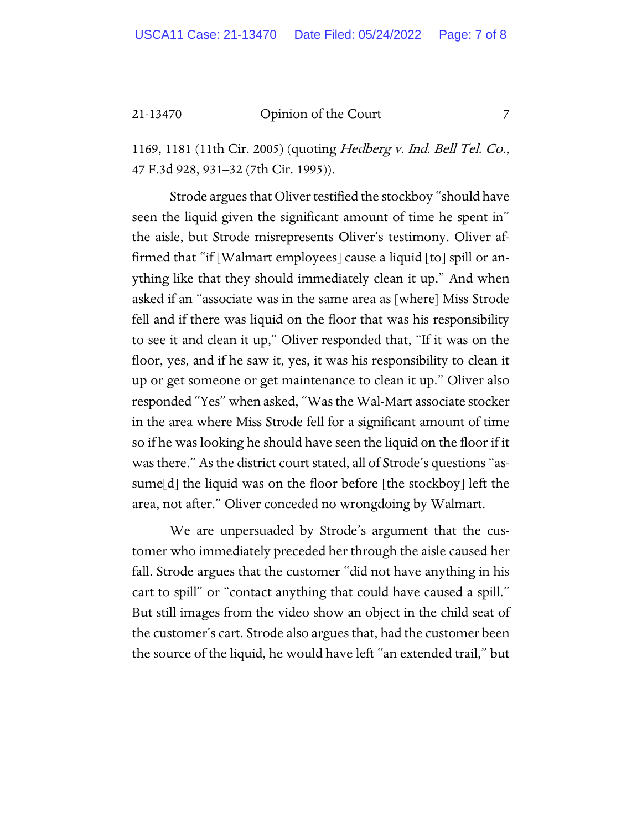21-13470 Opinion of the Court 7

1169, 1181 (11th Cir. 2005) (quoting Hedberg v. Ind. Bell Tel. Co., 47 F.3d 928, 931–32 (7th Cir. 1995)).

Strode argues that Oliver testified the stockboy "should have seen the liquid given the significant amount of time he spent in" the aisle, but Strode misrepresents Oliver's testimony. Oliver affirmed that "if [Walmart employees] cause a liquid [to] spill or anything like that they should immediately clean it up." And when asked if an "associate was in the same area as [where] Miss Strode fell and if there was liquid on the floor that was his responsibility to see it and clean it up," Oliver responded that, "If it was on the floor, yes, and if he saw it, yes, it was his responsibility to clean it up or get someone or get maintenance to clean it up." Oliver also responded "Yes" when asked, "Was the Wal-Mart associate stocker in the area where Miss Strode fell for a significant amount of time so if he was looking he should have seen the liquid on the floor if it was there." As the district court stated, all of Strode's questions "assume[d] the liquid was on the floor before [the stockboy] left the area, not after." Oliver conceded no wrongdoing by Walmart.

We are unpersuaded by Strode's argument that the customer who immediately preceded her through the aisle caused her fall. Strode argues that the customer "did not have anything in his cart to spill" or "contact anything that could have caused a spill." But still images from the video show an object in the child seat of the customer's cart. Strode also argues that, had the customer been the source of the liquid, he would have left "an extended trail," but